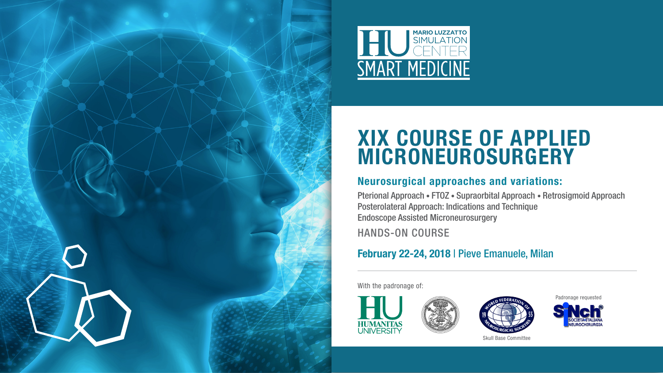



# XIX Course of Applied Microneurosurgery

# Neurosurgical approaches and variations:

Pterional Approach • FTOZ • Supraorbital Approach • Retrosigmoid Approach Posterolateral Approach: Indications and Technique Endoscope Assisted Microneurosurgery

Hands-on course

# February 22-24, 2018 | Pieve Emanuele, Milan

With the padronage of:







Skull Base Committee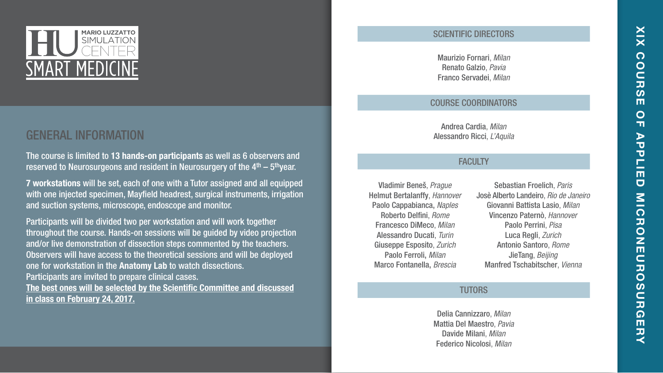

# GENERAL INFORMATION

The course is limited to 13 hands-on participants as well as 6 observers and reserved to Neurosurgeons and resident in Neurosurgery of the  $4<sup>th</sup> - 5<sup>th</sup>$ vear.

7 workstations will be set, each of one with a Tutor assigned and all equipped with one injected specimen, Mayfield headrest, surgical instruments, irrigation and suction systems, microscope, endoscope and monitor.

Participants will be divided two per workstation and will work together throughout the course. Hands-on sessions will be guided by video projection and/or live demonstration of dissection steps commented by the teachers. Observers will have access to the theoretical sessions and will be deployed one for workstation in the Anatomy Lab to watch dissections. Participants are invited to prepare clinical cases. The best ones will be selected by the Scientific Committee and discussed in class on February 24, 2017.

#### SCIENTIFIC DIRECTORS

Maurizio Fornari, *Milan* Renato Galzio, *Pavia* Franco Servadei, *Milan*

## Course Coordinators

Andrea Cardia, *Milan* Alessandro Ricci, *L'Aquila*

## **FACULTY**

Vladimir Beneš, *Prague* Helmut Bertalanffy, *Hannover* Paolo Cappabianca, *Naples* Roberto Delfini, *Rome* Francesco DiMeco, *Milan* Alessandro Ducati, *Turin* Giuseppe Esposito, *Zurich* Paolo Ferroli, *Milan* Marco Fontanella, *Brescia*

Sebastian Froelich, *Paris* Josè Alberto Landeiro, *Rio de Janeiro* Giovanni Battista Lasio, *Milan* Vincenzo Paternò, *Hannover* Paolo Perrini, *Pisa* Luca Regli, *Zurich* Antonio Santoro, *Rome* JieTang, *Beijing* Manfred Tschabitscher, *Vienna*

#### **TUTORS**

Delia Cannizzaro, *Milan* Mattia Del Maestro, *Pavia* Davide Milani, *Milan* Federico Nicolosi, *Milan*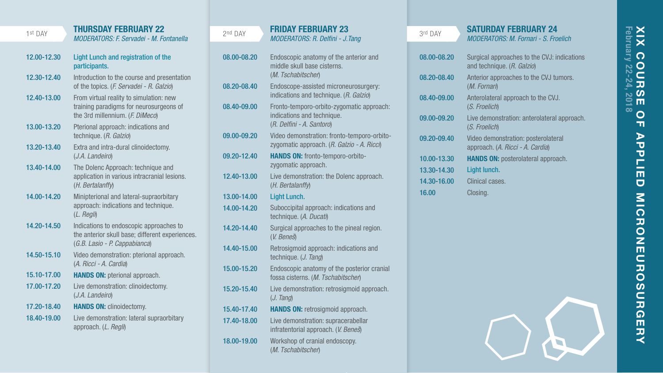# **XIX C**<br>February **XIX Course of Applied Microneurosurgery** February 22-24, 2018**OUR**  $rac{6}{5}$ 201  $\mathbf O$  $\mathbf{u}$  $\blacktriangleright$ ์ซ  $\tilde{P}$ 亩  $\overline{a}$ **MICRONEUROSOR** デロス

#### 1st DAY

## THURSD AY Febru ary 22

*Moderators: F. Servadei - M. Fontanella*

- Light Lunch and registration of the participants. Introduction to the course and presentation of the topics. (*F. Servadei - R. Galzio*) From virtual reality to simulation: new training paradigms for neurosurgeons of the 3rd millennium. (*F. DiMeco*) 12.00-12.30 12.30-12.40 12.40-13.00
- Pterional approach: indications and technique. (*R. Galzio*) 13.00-13.20
- Extra and intra-dural clinoidectomy. (*J.A. Landeiro*) 13.20-13.40
- The Dolenc Approach: technique and application in various intracranial lesions. (*H. Bertalanffy*) 13.40-14.00
- Minipterional and lateral-supraorbitary approach: indications and technique. (*L. Regli*) 14.00-14.20
- Indications to endoscopic approaches to the anterior skull base; different experiences. (*G.B. Lasio - P. Cappabianca*) 14.20-14.50
- Video demonstration: pterional approach. (*A. Ricci A. Cardia*) 14.50-15.10
- **HANDS ON: pterional approach.** 15.10-17.00
- Live demonstration: clinoidectomy. (*J.A. Landeiro*) 17.00-17.20
- HANDS ON: clinoidectomy. 17.20-18.40
- Live demonstration: lateral supraorbitary approach. (*L. Regli*) 18.40-19.00

| g<br>. . |  |
|----------|--|
|          |  |

#### FR I D AY Febru ary 23 *Moderators: R. Delfini - J.Tang*

08.00-08.20 08.20-08.40 08.40-09.00 09.00-09.20 09.20-12.40 12.40-13.00 13.00-14.00 14.00-14.20 14.20-14.40 14.40-15.00 15.00-15.20 15.20-15.40 15.40-17.40 17.40-18.00 18.00-19.00 Endoscopic anatomy of the anterior and middle skull base cisterns. (*M. Tschabitscher*) Endoscope-assisted microneurosurgery: indications and technique. (*R. Galzio*) Fronto-temporo-orbito-zygomatic approach:<br>indications and technique. indications and technique. (*R. Delfini - A. Santoro*) Video demonstration: fronto-temporo-orbitozygomatic approach. (*R. Galzio - A. Ricci*) Hands on: fronto-temporo-orbitozygomatic approach. Live demonstration: the Dolenc approach. (*H. Bertalanffy*) Light Lunch. Suboccipital approach: indications and technique. (*A. Ducati*) Surgical approaches to the pineal region. (*V. Beneš*) Retrosigmoid approach: indications and technique. (*J. Tang*) Endoscopic anatomy of the posterior cranial fossa cisterns. (*M. Tschabitscher*) Live demonstration: retrosigmoid approach. (*J. Tang*) HANDS ON: retrosigmoid approach. Live demonstration: supracerabellar infratentorial approach. (*V. Beneš*) Workshop of cranial endoscopy. (*M. Tschabitscher*)

| 3rd DAY     | <b>SATURDAY FEBRUARY 24</b>                                               |  |
|-------------|---------------------------------------------------------------------------|--|
|             | <b>MODERATORS: M. Fornari - S. Froelich</b>                               |  |
|             |                                                                           |  |
| 08.00-08.20 | Surgical approaches to the CVJ: indications<br>and technique. (R. Galzio) |  |
| 08.20-08.40 | Anterior approaches to the CVJ tumors.<br>(M. Fornari)                    |  |
| 08.40-09.00 | Anterolateral approach to the CVJ.<br>(S. Froelich)                       |  |
| 09.00-09.20 | Live demonstration: anterolateral approach.<br>(S. Froelich)              |  |
| 09.20-09.40 | Video demonstration: posterolateral<br>approach. (A. Ricci - A. Cardia)   |  |
| 10.00-13.30 | <b>HANDS ON:</b> posterolateral approach.                                 |  |
| 13.30-14.30 | Light lunch.                                                              |  |
| 14.30-16.00 | Clinical cases.                                                           |  |
| 16.00       | Closing.                                                                  |  |